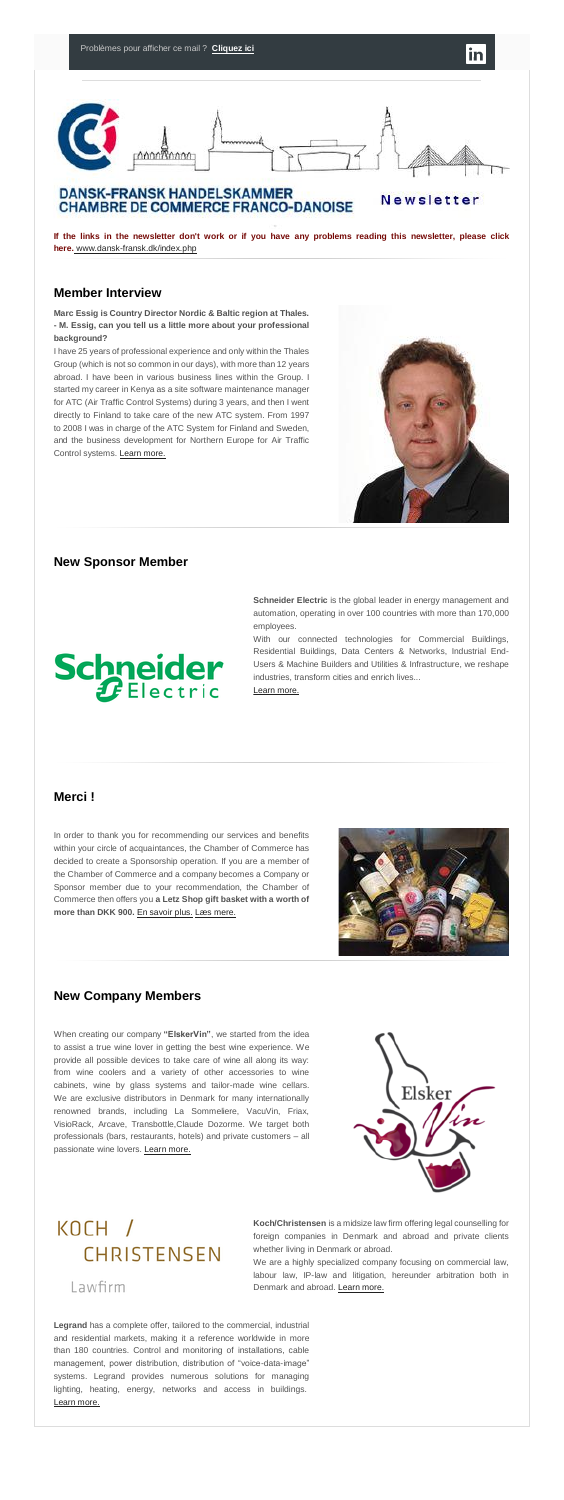

### **DANSK-FRANSK HANDELSKAMMER CHAMBRE DE COMMERCE FRANCO-DANOISE**

Newsletter

**If the links in the newsletter don't work or if you have any problems reading this newsletter, please click here.** [www.dansk-fransk.dk/index.php](http://www.dansk-fransk.dk/index.php?id=37281)

### **Member Interview**

**Marc Essig is Country Director Nordic & Baltic region at Thales. - M. Essig, can you tell us a little more about your professional background?**

I have 25 years of professional experience and only within the Thales Group (which is not so common in our days), with more than 12 years abroad. I have been in various business lines within the Group. I started my career in Kenya as a site software maintenance manager for ATC (Air Traffic Control Systems) during 3 years, and then I went directly to Finland to take care of the new ATC system. From 1997 to 2008 I was in charge of the ATC System for Finland and Sweden, and the business development for Northern Europe for Air Traffic Control systems. [Learn more.](http://www.dansk-fransk.dk/index.php?id=8551)



When creating our company **"ElskerVin"**, we started from the idea to assist a true wine lover in getting the best wine experience. We provide all possible devices to take care of wine all along its way: from wine coolers and a variety of other accessories to wine cabinets, wine by glass systems and tailor-made wine cellars. We are exclusive distributors in Denmark for many internationally renowned brands, including La Sommeliere, VacuVin, Friax, VisioRack, Arcave, Transbottle,Claude Dozorme. We target both professionals (bars, restaurants, hotels) and private customers – all passionate wine lovers. [Learn more.](http://www.dansk-fransk.dk/index.php?id=8547)



### KOCH / CHRISTENSEN

Lawfirm

### **New Sponsor Member**

**Schneider Electric** is the global leader in energy management and automation, operating in over 100 countries with more than 170,000 employees.

With our connected technologies for Commercial Buildings, Residential Buildings, Data Centers & Networks, Industrial End-Users & Machine Builders and Utilities & Infrastructure, we reshape industries, transform cities and enrich lives...

#### [Learn more.](http://www.dansk-fransk.dk/index.php?id=8552)

# **Schneider**

### **Merci !**

In order to thank you for recommending our services and benefits within your circle of acquaintances, the Chamber of Commerce has



decided to create a Sponsorship operation. If you are a member of the Chamber of Commerce and a company becomes a Company or Sponsor member due to your recommendation, the Chamber of Commerce then offers you **a Letz Shop gift basket with a worth of more than DKK 900.** [En savoir plus.](http://www.dansk-fransk.dk/adhesion/parrainage/) [Læs mere.](http://www.dansk-fransk.dk/dk/indmeldelse/parrainage/)



### **New Company Members**

**Koch/Christensen** is a midsize law firm offering legal counselling for foreign companies in Denmark and abroad and private clients whether living in Denmark or abroad.

We are a highly specialized company focusing on commercial law, labour law, IP-law and litigation, hereunder arbitration both in Denmark and abroad. [Learn more.](http://www.dansk-fransk.dk/index.php?id=8548)

**Legrand** has a complete offer, tailored to the commercial, industrial and residential markets, making it a reference worldwide in more than 180 countries. Control and monitoring of installations, cable management, power distribution, distribution of "voice-data-image" systems. Legrand provides numerous solutions for managing lighting, heating, energy, networks and access in buildings. [Learn more.](http://www.dansk-fransk.dk/index.php?id=8555)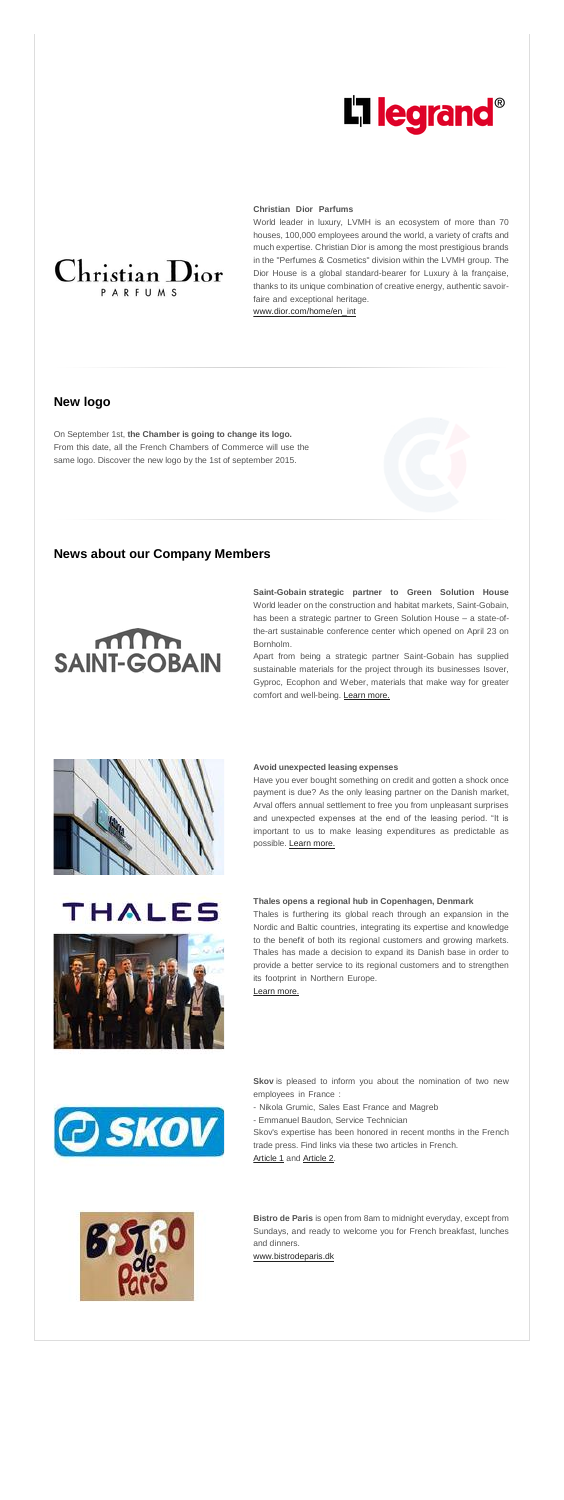## **L'1 legrand<sup>®</sup>**

### **Christian Dior Parfums………………………………………………**

World leader in luxury, LVMH is an ecosystem of more than 70 houses, 100,000 employees around the world, a variety of crafts and much expertise. Christian Dior is among the most prestigious brands in the "Perfumes & Cosmetics" division within the LVMH group. The Dior House is a global standard-bearer for Luxury à la française, thanks to its unique combination of creative energy, authentic savoirfaire and exceptional heritage.

[www.dior.com/home/en\\_int](http://www.dior.com/home/en_int)

### **New logo**

On September 1st, **the Chamber is going to change its logo.** From this date, all the French Chambers of Commerce will use the same logo. Discover the new logo by the 1st of september 2015.

### **News about our Company Members**

### $m_{\rm m}$ **SAINT-GOBAIN**

**Saint-Gobain strategic partner to Green Solution House** World leader on the construction and habitat markets, Saint-Gobain, has been a strategic partner to Green Solution House – a state-ofthe-art sustainable conference center which opened on April 23 on Bornholm.

**Skov** is pleased to inform you about the nomination of two new employees in France :

Apart from being a strategic partner Saint-Gobain has supplied sustainable materials for the project through its businesses Isover, Gyproc, Ecophon and Weber, materials that make way for greater comfort and well-being. [Learn more.](http://www.dansk-fransk.dk/index.php?id=8550)



Skov's expertise has been honored in recent months in the French trade press. Find links via these two articles in French. [Article 1](http://admin.uccife.org/fileadmin/template/danemark/docs/Newsletter/Reussir_Porcs_avril_2015.pdf) and [Article 2.](http://admin.uccife.org/fileadmin/template/danemark/docs/Newsletter/Reussir_Porcs_May_2015_SKOV_only.pdf)



### **Avoid unexpected leasing expenses…………………………………**

Have you ever bought something on credit and gotten a shock once payment is due? As the only leasing partner on the Danish market, Arval offers annual settlement to free you from unpleasant surprises and unexpected expenses at the end of the leasing period. "It is important to us to make leasing expenditures as predictable as possible. [Learn more.](http://www.dansk-fransk.dk/index.php?id=8549)



### THALES



### **Thales opens a regional hub in Copenhagen, Denmark**

Thales is furthering its global reach through an expansion in the Nordic and Baltic countries, integrating its expertise and knowledge to the benefit of both its regional customers and growing markets. Thales has made a decision to expand its Danish base in order to provide a better service to its regional customers and to strengthen its footprint in Northern Europe. [Learn more.](http://www.dansk-fransk.dk/index.php?id=8554)



- Nikola Grumic, Sales East France and Magreb**……………………**

- Emmanuel Baudon, Service Technician

**Bistro de Paris** is open from 8am to midnight everyday, except from Sundays, and ready to welcome you for French breakfast, lunches and dinners.

[www.bistrodeparis.dk](http://www.bistrodeparis.dk/)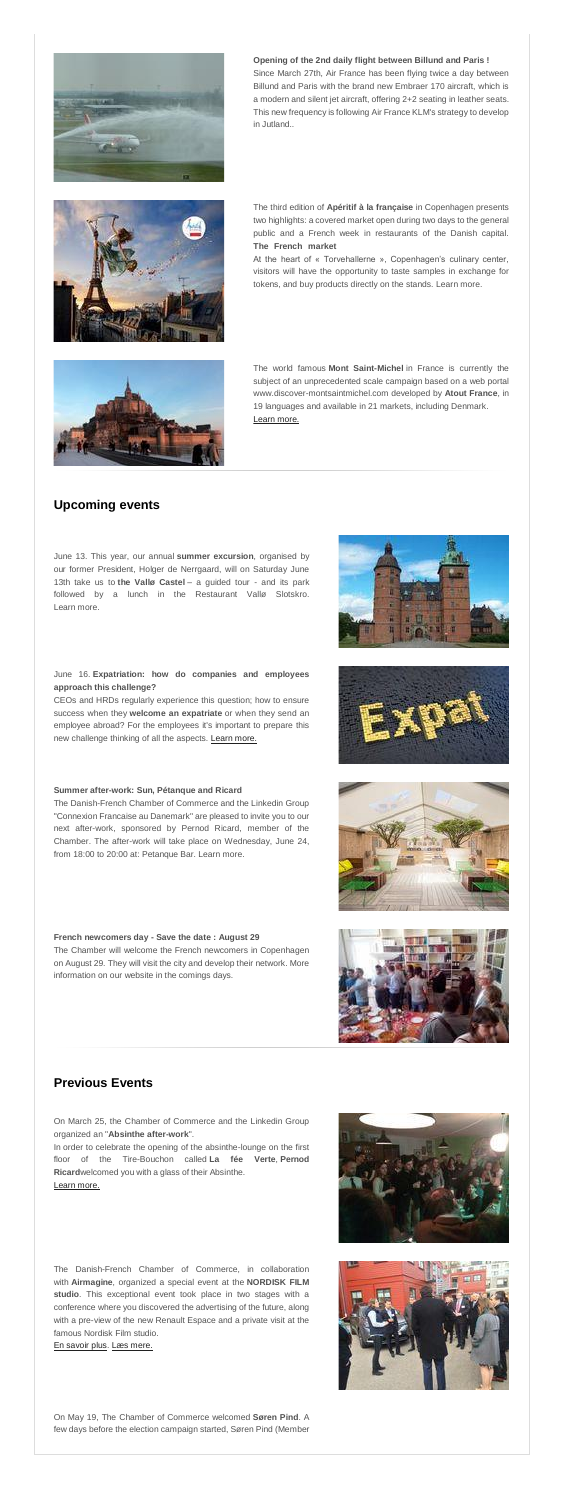

**Opening of the 2nd daily flight between Billund and Paris !** Since March 27th, Air France has been flying twice a day between Billund and Paris with the brand new Embraer 170 aircraft, which is a modern and silent jet aircraft, offering 2+2 seating in leather seats. This new frequency is following Air France KLM's strategy to develop in Jutland..



The third edition of **Apéritif à la française** in Copenhagen presents two highlights: a covered market open during two days to the general public and a French week in restaurants of the Danish capital. **The French market……………………………………………………**

At the heart of « Torvehallerne », Copenhagen's culinary center, visitors will have the opportunity to taste samples in exchange for tokens, and buy products directly on the stands. Learn more.



The world famous **Mont Saint-Michel** in France is currently the subject of an unprecedented scale campaign based on a web portal www.discover-montsaintmichel.com developed by **Atout France**, in 19 languages and available in 21 markets, including Denmark. [Learn more.](http://www.dansk-fransk.dk/index.php?id=8553)

### **Upcoming events**

June 13. This year, our annual **summer excursion**, organised by our former President, Holger de Nerrgaard, will on Saturday June 13th take us to **the Vallø Castel** – a guided tour - and its park followed by a lunch in the Restaurant Vallø Slotskro. Learn more.

### June 16. **Expatriation: how do companies and employees approach this challenge?**

CEOs and HRDs regularly experience this question; how to ensure success when they **welcome an expatriate** or when they send an employee abroad? For the employees it's important to prepare this new challenge thinking of all the aspects. [Learn more.](http://www.dansk-fransk.dk/index.php?id=8556)

### **Summer after-work: Sun, Pétanque and Ricard**

The Danish-French Chamber of Commerce and the Linkedin Group "Connexion Francaise au Danemark" are pleased to invite you to our next after-work, sponsored by Pernod Ricard, member of the Chamber. The after-work will take place on Wednesday, June 24,







from 18:00 to 20:00 at: Petanque Bar. Learn more.

#### **French newcomers day - Save the date : August 29**

The Chamber will welcome the French newcomers in Copenhagen on August 29. They will visit the city and develop their network. More information on our website in the comings days.

### **Previous Events**

On March 25, the Chamber of Commerce and the Linkedin Group organized an "**Absinthe after-work**".

In order to celebrate the opening of the absinthe-lounge on the first floor of the Tire-Bouchon called **La fée Verte**, **Pernod Ricard**welcomed you with a glass of their Absinthe. **…………………** [Learn more.](http://www.dansk-fransk.dk/sitemap/retour-sur/after-work-absinthe/)

The Danish-French Chamber of Commerce, in collaboration with **Airmagine**, organized a special event at the **NORDISK FILM studio**. This exceptional event took place in two stages with a conference where you discovered the advertising of the future, along with a pre-view of the new Renault Espace and a private visit at the famous Nordisk Film studio.

[En savoir plus.](http://www.dansk-fransk.dk/sitemap/retour-sur/airmagine-renault/) [Læs mere.](http://www.dansk-fransk.dk/dk/sitemap/tilbage-til/airmagine-renault/)

On May 19, The Chamber of Commerce welcomed **Søren Pind**. A few days before the election campaign started, Søren Pind (Member





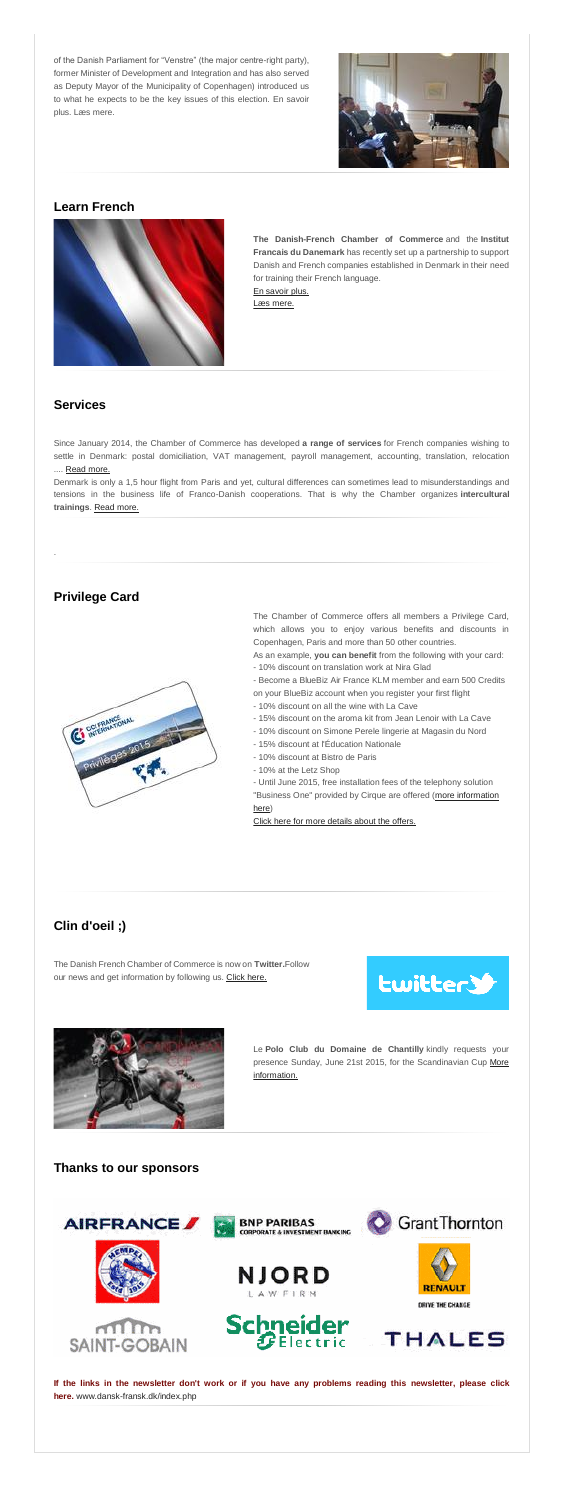of the Danish Parliament for "Venstre" (the major centre-right party), former Minister of Development and Integration and has also served as Deputy Mayor of the Municipality of Copenhagen) introduced us to what he expects to be the key issues of this election. En savoir plus. Læs mere.



### **Learn French**



**The Danish-French Chamber of Commerce** and the **Institut Francais du Danemark** has recently set up a partnership to support Danish and French companies established in Denmark in their need for training their French language. [En savoir plus.](http://www.dansk-fransk.dk/services-aux-entreprises/apprendre-le-francais/)

[Læs mere.](http://www.dansk-fransk.dk/dk/service-til-virksomheder/apprendre-le-francais/)

### **Services**

Since January 2014, the Chamber of Commerce has developed **a range of services** for French companies wishing to settle in Denmark: postal domiciliation, VAT management, payroll management, accounting, translation, relocation .... [Read more.](http://admin.uccife.org/?id=6178)

Denmark is only a 1,5 hour flight from Paris and yet, cultural differences can sometimes lead to misunderstandings and tensions in the business life of Franco-Danish cooperations. That is why the Chamber organizes **intercultural trainings**. [Read more.](http://admin.uccife.org/?id=30593)

.



### **Privilege Card**

The Chamber of Commerce offers all members a Privilege Card, which allows you to enjoy various benefits and discounts in Copenhagen, Paris and more than 50 other countries.

As an example, **you can benefit** from the following with your card:

- 10% discount on translation work at Nira Glad
- Become a BlueBiz Air France KLM member and earn 500 Credits
- on your BlueBiz account when you register your first flight
- 10% discount on all the wine with La Cave
- 15% discount on the aroma kit from Jean Lenoir with La Cave
- 10% discount on Simone Perele lingerie at Magasin du Nord
- 15% discount at l'Éducation Nationale
- 10% discount at Bistro de Paris
- 10% at the Letz Shop
- Until June 2015, free installation fees of the telephony solution "Business One" provided by Cirque are offered [\(more information](http://www.dansk-fransk.dk/index.php?id=34470)

### [here\)](http://www.dansk-fransk.dk/index.php?id=34470)

[Click here for more details about the offers.](http://admin.uccife.org/?id=26843)

### **Clin d'oeil ;)**

The Danish French Chamber of Commerce is now on **Twitter.**Follow our news and get information by following us. [Click here.](https://twitter.com/DFCC_2014)





Le **Polo Club du Domaine de Chantilly** kindly requests your presence Sunday, June 21st 2015, for the Scandinavian Cup [More](http://admin.uccife.org/fileadmin/template/danemark/docs/Airmagine/savethedate_SCANDINAVIAN_anglais2.pdf)  [information.](http://admin.uccife.org/fileadmin/template/danemark/docs/Airmagine/savethedate_SCANDINAVIAN_anglais2.pdf)

### **Thanks to our sponsors**



**If the links in the newsletter don't work or if you have any problems reading this newsletter, please click here.** [www.dansk-fransk.dk/index.php](http://www.dansk-fransk.dk/index.php?id=37281)